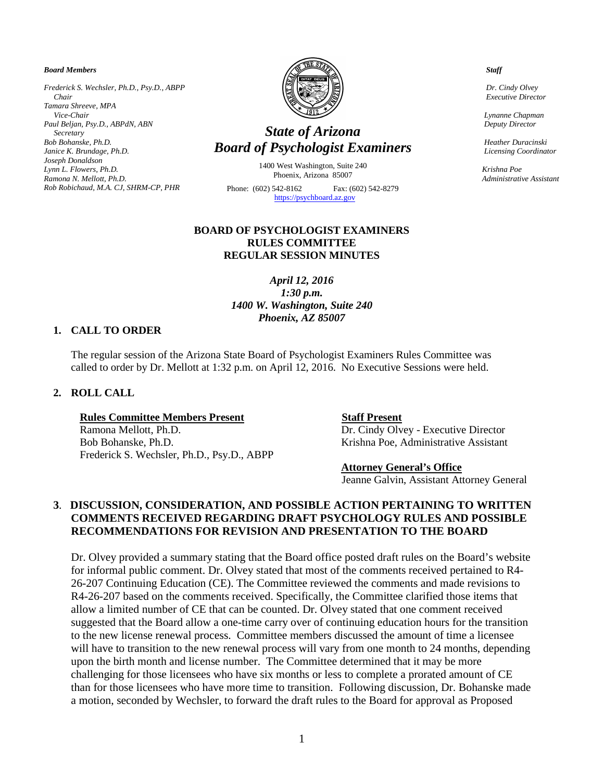#### *Board Members*

*Frederick S. Wechsler, Ph.D., Psy.D., ABPP Chair Tamara Shreeve, MPA Vice-Chair Paul Beljan, Psy.D., ABPdN, ABN Secretary Bob Bohanske, Ph.D. Janice K. Brundage, Ph.D. Joseph Donaldson Lynn L. Flowers, Ph.D. Ramona N. Mellott, Ph.D. Rob Robichaud, M.A. CJ, SHRM-CP, PHR* 



# *State of Arizona Board of Psychologist Examiners*

1400 West Washington, Suite 240 Phoenix, Arizona 85007

Phone: (602) 542-8162 Fax: (602) 542-8279  [https://psychboard.az.gov](https://psychboard.az.gov/) 

## **BOARD OF PSYCHOLOGIST EXAMINERS RULES COMMITTEE REGULAR SESSION MINUTES**

*April 12, 2016 1:30 p.m. 1400 W. Washington, Suite 240 Phoenix, AZ 85007*

#### **1. CALL TO ORDER**

The regular session of the Arizona State Board of Psychologist Examiners Rules Committee was called to order by Dr. Mellott at 1:32 p.m. on April 12, 2016. No Executive Sessions were held.

### **2. ROLL CALL**

#### **Rules Committee Members Present Staff Present**

Ramona Mellott, Ph.D. **Dr. Cindy Olvey - Executive Director** Bob Bohanske, Ph.D. Krishna Poe, Administrative Assistant Frederick S. Wechsler, Ph.D., Psy.D., ABPP

#### **Attorney General's Office**

Jeanne Galvin, Assistant Attorney General

# **3**. **DISCUSSION, CONSIDERATION, AND POSSIBLE ACTION PERTAINING TO WRITTEN COMMENTS RECEIVED REGARDING DRAFT PSYCHOLOGY RULES AND POSSIBLE RECOMMENDATIONS FOR REVISION AND PRESENTATION TO THE BOARD**

Dr. Olvey provided a summary stating that the Board office posted draft rules on the Board's website for informal public comment. Dr. Olvey stated that most of the comments received pertained to R4- 26-207 Continuing Education (CE). The Committee reviewed the comments and made revisions to R4-26-207 based on the comments received. Specifically, the Committee clarified those items that allow a limited number of CE that can be counted. Dr. Olvey stated that one comment received suggested that the Board allow a one-time carry over of continuing education hours for the transition to the new license renewal process. Committee members discussed the amount of time a licensee will have to transition to the new renewal process will vary from one month to 24 months, depending upon the birth month and license number. The Committee determined that it may be more challenging for those licensees who have six months or less to complete a prorated amount of CE than for those licensees who have more time to transition. Following discussion, Dr. Bohanske made a motion, seconded by Wechsler, to forward the draft rules to the Board for approval as Proposed

 *Staff*

 *Dr. Cindy Olvey Executive Director*

 *Lynanne Chapman Deputy Director*

 *Heather Duracinski Licensing Coordinator*

 *Krishna Poe Administrative Assistant*